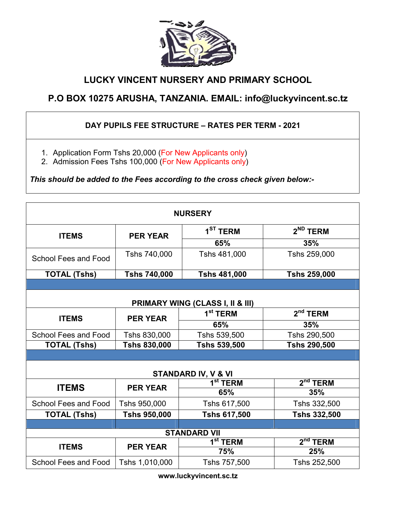

## LUCKY VINCENT NURSERY AND PRIMARY SCHOOL

## P.O BOX 10275 ARUSHA, TANZANIA. EMAIL: info@luckyvincent.sc.tz

## DAY PUPILS FEE STRUCTURE – RATES PER TERM - 2021

- 1. Application Form Tshs 20,000 (For New Applicants only)
- 2. Admission Fees Tshs 100,000 (For New Applicants only)

*This should be added to the Fees according to the cross check given below:-*

| <b>NURSERY</b>                   |                     |                      |                      |  |  |
|----------------------------------|---------------------|----------------------|----------------------|--|--|
| <b>ITEMS</b>                     | <b>PER YEAR</b>     | 1 <sup>ST</sup> TERM | 2 <sup>ND</sup> TERM |  |  |
|                                  |                     | 65%                  | 35%                  |  |  |
| School Fees and Food             | Tshs 740,000        | Tshs 481,000         | Tshs 259,000         |  |  |
| <b>TOTAL (Tshs)</b>              | <b>Tshs 740,000</b> | <b>Tshs 481,000</b>  | <b>Tshs 259,000</b>  |  |  |
|                                  |                     |                      |                      |  |  |
| PRIMARY WING (CLASS I, II & III) |                     |                      |                      |  |  |
| <b>ITEMS</b>                     | <b>PER YEAR</b>     | 1 <sup>st</sup> TERM | $2nd$ TERM           |  |  |
|                                  |                     | 65%                  | 35%                  |  |  |
| School Fees and Food             | Tshs 830,000        | Tshs 539,500         | Tshs 290,500         |  |  |
| <b>TOTAL (Tshs)</b>              | <b>Tshs 830,000</b> | <b>Tshs 539,500</b>  | <b>Tshs 290,500</b>  |  |  |
|                                  |                     |                      |                      |  |  |
| STANDARD IV, V & VI              |                     |                      |                      |  |  |
| <b>ITEMS</b>                     | <b>PER YEAR</b>     | 1 $^{\rm st}$ TERM   | $2nd$ TERM           |  |  |
|                                  |                     | 65%                  | 35%                  |  |  |
| <b>School Fees and Food</b>      | Tshs 950,000        | Tshs 617,500         | Tshs 332,500         |  |  |
| <b>TOTAL (Tshs)</b>              | <b>Tshs 950,000</b> | <b>Tshs 617,500</b>  | <b>Tshs 332,500</b>  |  |  |
|                                  |                     |                      |                      |  |  |
| <b>STANDARD VII</b>              |                     |                      |                      |  |  |
| <b>ITEMS</b>                     | <b>PER YEAR</b>     | 1 <sup>st</sup> TERM | $2nd$ TERM           |  |  |
|                                  |                     | <b>75%</b>           | 25%                  |  |  |
| School Fees and Food             | Tshs 1,010,000      | Tshs 757,500         | Tshs 252,500         |  |  |

www.luckyvincent.sc.tz